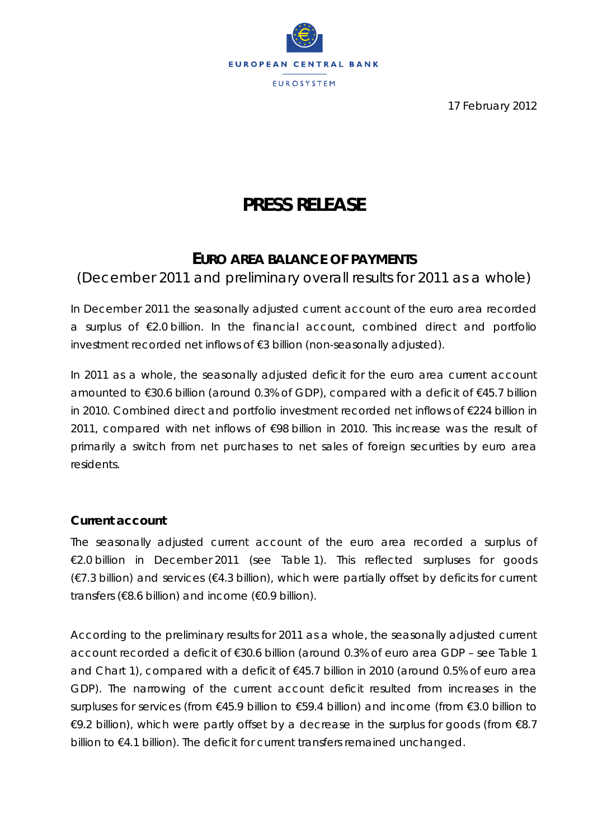

17 February 2012

# **PRESS RELEASE**

# **EURO AREA BALANCE OF PAYMENTS**

(December 2011 and preliminary overall results for 2011 as a whole)

*In December 2011 the seasonally adjusted current account of the euro area recorded a surplus of €2.0 billion. In the financial account, combined direct and portfolio investment recorded net inflows of €3 billion (non-seasonally adjusted).* 

*In 2011 as a whole, the seasonally adjusted deficit for the euro area current account amounted to €30.6 billion (around 0.3% of GDP), compared with a deficit of €45.7 billion in 2010. Combined direct and portfolio investment recorded net inflows of €224 billion in* 2011, compared with net inflows of €98 billion in 2010. This increase was the result of *primarily a switch from net purchases to net sales of foreign securities by euro area residents.* 

## **Current account**

The seasonally adjusted *current account* of the euro area recorded a surplus of €2.0 billion in December 2011 (see Table 1). This reflected surpluses for *goods*  (€7.3 billion) and *services* (€4.3 billion), which were partially offset by deficits for *current transfers* (€8.6 billion) and *income* (€0.9 billion).

According to the preliminary results for 2011 as a whole, the seasonally adjusted *current account* recorded a deficit of *€*30.6 billion (around 0.3% of euro area GDP – see Table 1 and Chart 1), compared with a deficit of *€*45.7 billion in 2010 (around 0.5% of euro area GDP). The narrowing of the current account deficit resulted from increases in the surpluses for *services* (from *€*45.9 billion to *€*59.4 billion) and *income* (from *€*3.0 billion to *€*9.2 billion), which were partly offset by a decrease in the surplus for *goods* (from *€*8.7 billion to *€*4.1 billion). The deficit for *current transfers* remained unchanged.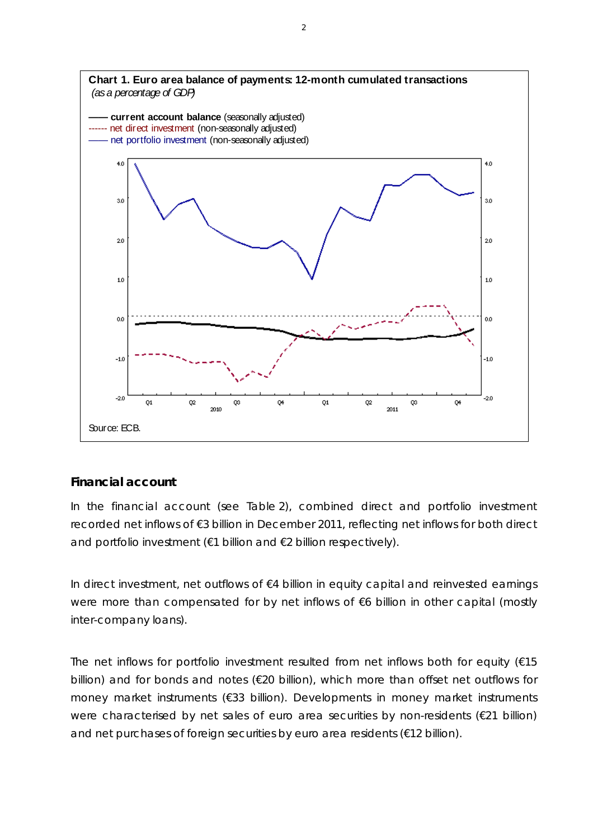

#### **Financial account**

In the financial account (see Table 2), *combined direct and portfolio investment* recorded net inflows of €3 billion in December 2011, reflecting net inflows for both direct and portfolio investment (€1 billion and €2 billion respectively).

In direct investment, net outflows of €4 billion in *equity capital and reinvested earnings* were more than compensated for by net inflows of €6 billion in *other capital (mostly inter-company loans)*.

The net inflows for *portfolio investment* resulted from net inflows both for *equity* (€15 billion) and for *bonds and notes* (€20 billion), which more than offset net outflows for *money market instruments* (€33 billion). Developments in money market instruments were characterised by net sales of euro area securities by non-residents (€21 billion) and net purchases of foreign securities by euro area residents (€12 billion).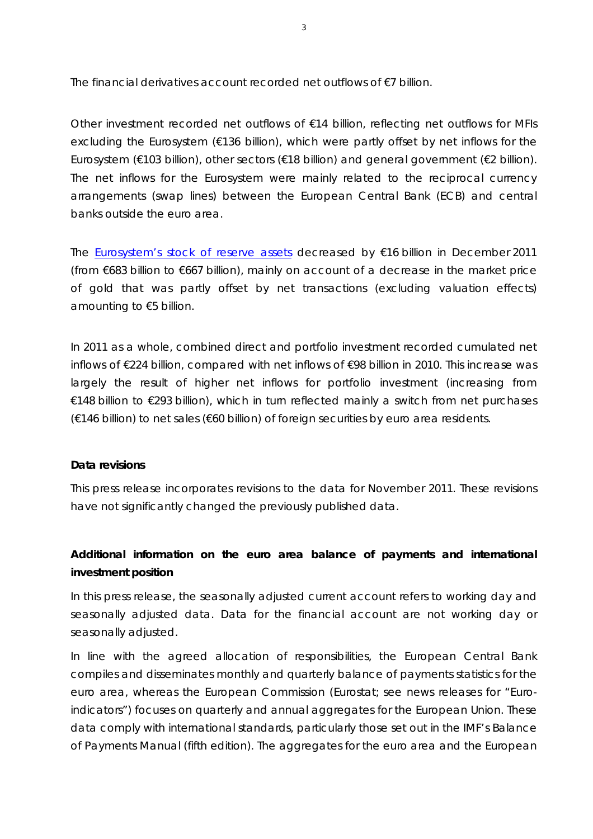The *financial derivatives* account recorded net outflows of €7 billion.

*Other investment* recorded net outflows of €14 billion, reflecting net outflows for *MFIs excluding the Eurosystem* (€136 billion), which were partly offset by net inflows for the *Eurosystem* (€103 billion), *other sectors* (€18 billion) and *general government* (€2 billion). The net inflows for the *Eurosystem* were mainly related to the reciprocal currency arrangements (swap lines) between the European Central Bank (ECB) and central banks outside the euro area.

The Eurosystem's stock of *reserve assets* decreased by €16 billion in December 2011 (from €683 billion to €667 billion), mainly on account of a decrease in the market price of gold that was partly offset by net transactions (excluding valuation effects) amounting to €5 billion.

In 2011 as a whole, *combined direct and portfolio investment* recorded cumulated net inflows of €224 billion, compared with net inflows of €98 billion in 2010. This increase was largely the result of higher net inflows for *portfolio investment* (increasing from €148 billion to €293 billion), which in turn reflected mainly a switch from net purchases (€146 billion) to net sales (€60 billion) of foreign securities by euro area residents.

#### **Data revisions**

This press release incorporates revisions to the data for November 2011. These revisions have not significantly changed the previously published data.

## **Additional information on the euro area balance of payments and international investment position**

*In this press release, the seasonally adjusted current account refers to working day and seasonally adjusted data. Data for the financial account are not working day or seasonally adjusted.* 

*In line with the agreed allocation of responsibilities, the European Central Bank compiles and disseminates monthly and quarterly balance of payments statistics for the euro area, whereas the European Commission (Eurostat; see news releases for "Euroindicators") focuses on quarterly and annual aggregates for the European Union. These data comply with international standards, particularly those set out in the IMF's Balance of Payments Manual (fifth edition). The aggregates for the euro area and the European*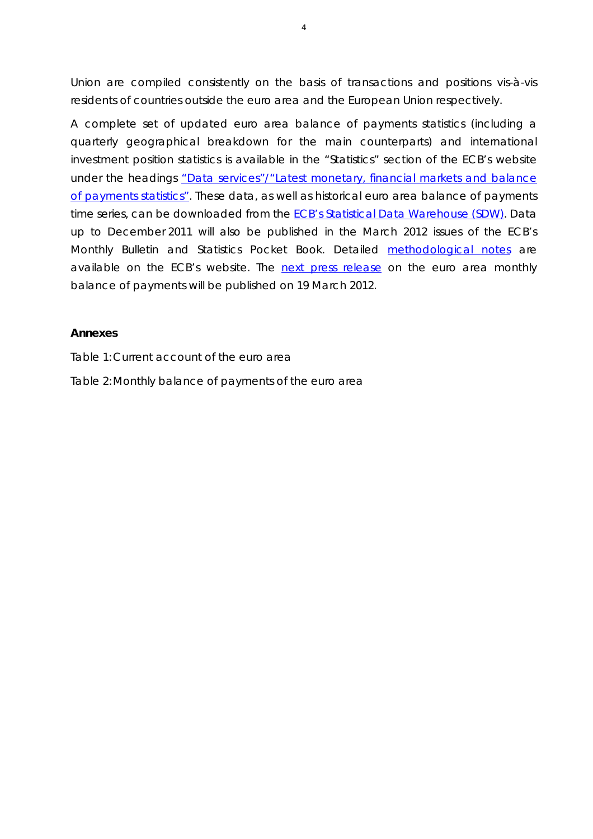*Union are compiled consistently on the basis of transactions and positions vis-à-vis residents of countries outside the euro area and the European Union respectively.* 

*A complete set of updated euro area balance of payments statistics (including a quarterly geographical breakdown for the main counterparts) and international investment position statistics is available in the "Statistics" section of the ECB's website under the headings "Data services"/"Latest monetary, financial markets and balance of payments statistics". These data, as well as historical euro area balance of payments time series, can be downloaded from the ECB's Statistical Data Warehouse (SDW). Data up to December 2011 will also be published in the March 2012 issues of the ECB's Monthly Bulletin and Statistics Pocket Book. Detailed methodological notes are available on the ECB's website. The next press release on the euro area monthly balance of payments will be published on 19 March 2012.*

## **Annexes**

Table 1: Current account of the euro area

Table 2: Monthly balance of payments of the euro area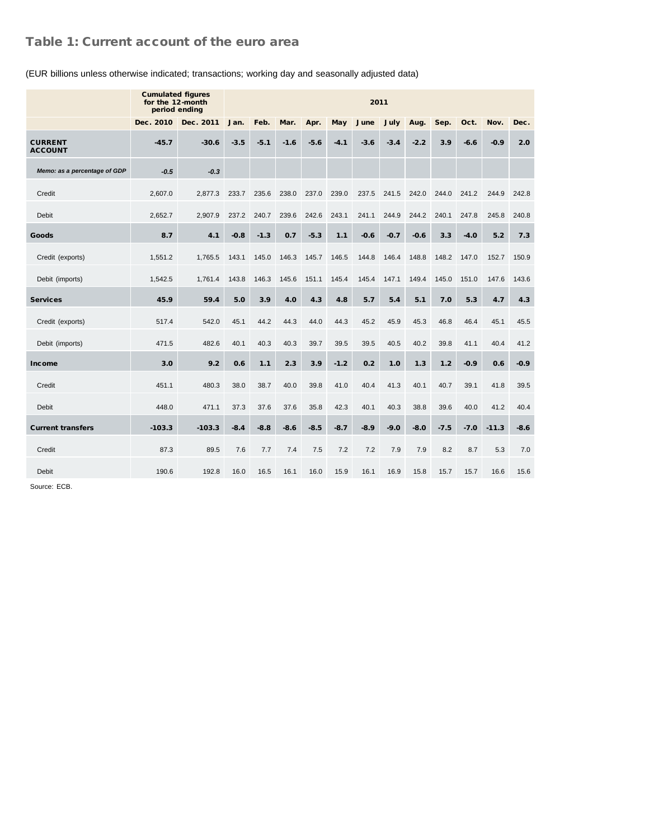### Table 1: Current account of the euro area

|                                  | <b>Cumulated figures</b><br>for the 12-month<br>period ending | 2011      |        |        |        |        |            |        |        |        |        |        |         |        |
|----------------------------------|---------------------------------------------------------------|-----------|--------|--------|--------|--------|------------|--------|--------|--------|--------|--------|---------|--------|
|                                  | Dec. 2010                                                     | Dec. 2011 | Jan.   | Feb.   | Mar.   | Apr.   | <b>May</b> | June   | July   | Aug.   | Sep.   | Oct.   | Nov.    | Dec.   |
| <b>CURRENT</b><br><b>ACCOUNT</b> | $-45.7$                                                       | $-30.6$   | $-3.5$ | $-5.1$ | $-1.6$ | $-5.6$ | $-4.1$     | $-3.6$ | $-3.4$ | $-2.2$ | 3.9    | $-6.6$ | $-0.9$  | 2.0    |
| Memo: as a percentage of GDP     | $-0.5$                                                        | $-0.3$    |        |        |        |        |            |        |        |        |        |        |         |        |
| Credit                           | 2,607.0                                                       | 2,877.3   | 233.7  | 235.6  | 238.0  | 237.0  | 239.0      | 237.5  | 241.5  | 242.0  | 244.0  | 241.2  | 244.9   | 242.8  |
| Debit                            | 2,652.7                                                       | 2,907.9   | 237.2  | 240.7  | 239.6  | 242.6  | 243.1      | 241.1  | 244.9  | 244.2  | 240.1  | 247.8  | 245.8   | 240.8  |
| Goods                            | 8.7                                                           | 4.1       | $-0.8$ | $-1.3$ | 0.7    | $-5.3$ | 1.1        | $-0.6$ | $-0.7$ | $-0.6$ | 3.3    | $-4.0$ | 5.2     | 7.3    |
| Credit (exports)                 | 1,551.2                                                       | 1,765.5   | 143.1  | 145.0  | 146.3  | 145.7  | 146.5      | 144.8  | 146.4  | 148.8  | 148.2  | 147.0  | 152.7   | 150.9  |
| Debit (imports)                  | 1,542.5                                                       | 1,761.4   | 143.8  | 146.3  | 145.6  | 151.1  | 145.4      | 145.4  | 147.1  | 149.4  | 145.0  | 151.0  | 147.6   | 143.6  |
| <b>Services</b>                  | 45.9                                                          | 59.4      | 5.0    | 3.9    | 4.0    | 4.3    | 4.8        | 5.7    | 5.4    | 5.1    | 7.0    | 5.3    | 4.7     | 4.3    |
| Credit (exports)                 | 517.4                                                         | 542.0     | 45.1   | 44.2   | 44.3   | 44.0   | 44.3       | 45.2   | 45.9   | 45.3   | 46.8   | 46.4   | 45.1    | 45.5   |
| Debit (imports)                  | 471.5                                                         | 482.6     | 40.1   | 40.3   | 40.3   | 39.7   | 39.5       | 39.5   | 40.5   | 40.2   | 39.8   | 41.1   | 40.4    | 41.2   |
| Income                           | 3.0                                                           | 9.2       | 0.6    | 1.1    | 2.3    | 3.9    | $-1.2$     | 0.2    | 1.0    | 1.3    | 1.2    | $-0.9$ | 0.6     | $-0.9$ |
| Credit                           | 451.1                                                         | 480.3     | 38.0   | 38.7   | 40.0   | 39.8   | 41.0       | 40.4   | 41.3   | 40.1   | 40.7   | 39.1   | 41.8    | 39.5   |
| Debit                            | 448.0                                                         | 471.1     | 37.3   | 37.6   | 37.6   | 35.8   | 42.3       | 40.1   | 40.3   | 38.8   | 39.6   | 40.0   | 41.2    | 40.4   |
| <b>Current transfers</b>         | $-103.3$                                                      | $-103.3$  | $-8.4$ | $-8.8$ | $-8.6$ | $-8.5$ | $-8.7$     | $-8.9$ | $-9.0$ | $-8.0$ | $-7.5$ | $-7.0$ | $-11.3$ | -8.6   |
| Credit                           | 87.3                                                          | 89.5      | 7.6    | 7.7    | 7.4    | 7.5    | 7.2        | 7.2    | 7.9    | 7.9    | 8.2    | 8.7    | 5.3     | 7.0    |
| Debit                            | 190.6                                                         | 192.8     | 16.0   | 16.5   | 16.1   | 16.0   | 15.9       | 16.1   | 16.9   | 15.8   | 15.7   | 15.7   | 16.6    | 15.6   |

#### (EUR billions unless otherwise indicated; transactions; working day and seasonally adjusted data)

Source: ECB.